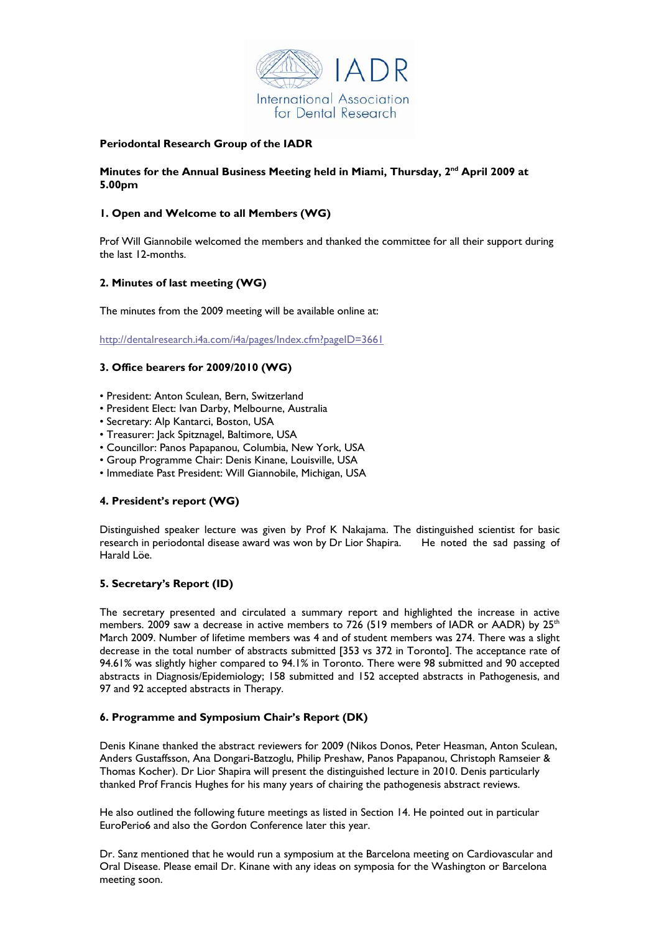

## **Periodontal Research Group of the IADR**

### **Minutes for the Annual Business Meeting held in Miami, Thursday, 2nd April 2009 at 5.00pm**

# **1. Open and Welcome to all Members (WG)**

Prof Will Giannobile welcomed the members and thanked the committee for all their support during the last 12-months.

## **2. Minutes of last meeting (WG)**

The minutes from the 2009 meeting will be available online at:

<http://dentalresearch.i4a.com/i4a/pages/Index.cfm?pageID=3661>

## **3. Office bearers for 2009/2010 (WG)**

- President: Anton Sculean, Bern, Switzerland
- President Elect: Ivan Darby, Melbourne, Australia
- Secretary: Alp Kantarci, Boston, USA
- Treasurer: Jack Spitznagel, Baltimore, USA
- Councillor: Panos Papapanou, Columbia, New York, USA
- Group Programme Chair: Denis Kinane, Louisville, USA
- Immediate Past President: Will Giannobile, Michigan, USA

### **4. President's report (WG)**

Distinguished speaker lecture was given by Prof K Nakajama. The distinguished scientist for basic research in periodontal disease award was won by Dr Lior Shapira. He noted the sad passing of Harald Löe.

### **5. Secretary's Report (ID)**

The secretary presented and circulated a summary report and highlighted the increase in active members. 2009 saw a decrease in active members to 726 (519 members of IADR or AADR) by  $25<sup>th</sup>$ March 2009. Number of lifetime members was 4 and of student members was 274. There was a slight decrease in the total number of abstracts submitted [353 vs 372 in Toronto]. The acceptance rate of 94.61% was slightly higher compared to 94.1% in Toronto. There were 98 submitted and 90 accepted abstracts in Diagnosis/Epidemiology; 158 submitted and 152 accepted abstracts in Pathogenesis, and 97 and 92 accepted abstracts in Therapy.

### **6. Programme and Symposium Chair's Report (DK)**

Denis Kinane thanked the abstract reviewers for 2009 (Nikos Donos, Peter Heasman, Anton Sculean, Anders Gustaffsson, Ana Dongari-Batzoglu, Philip Preshaw, Panos Papapanou, Christoph Ramseier & Thomas Kocher). Dr Lior Shapira will present the distinguished lecture in 2010. Denis particularly thanked Prof Francis Hughes for his many years of chairing the pathogenesis abstract reviews.

He also outlined the following future meetings as listed in Section 14. He pointed out in particular EuroPerio6 and also the Gordon Conference later this year.

Dr. Sanz mentioned that he would run a symposium at the Barcelona meeting on Cardiovascular and Oral Disease. Please email Dr. Kinane with any ideas on symposia for the Washington or Barcelona meeting soon.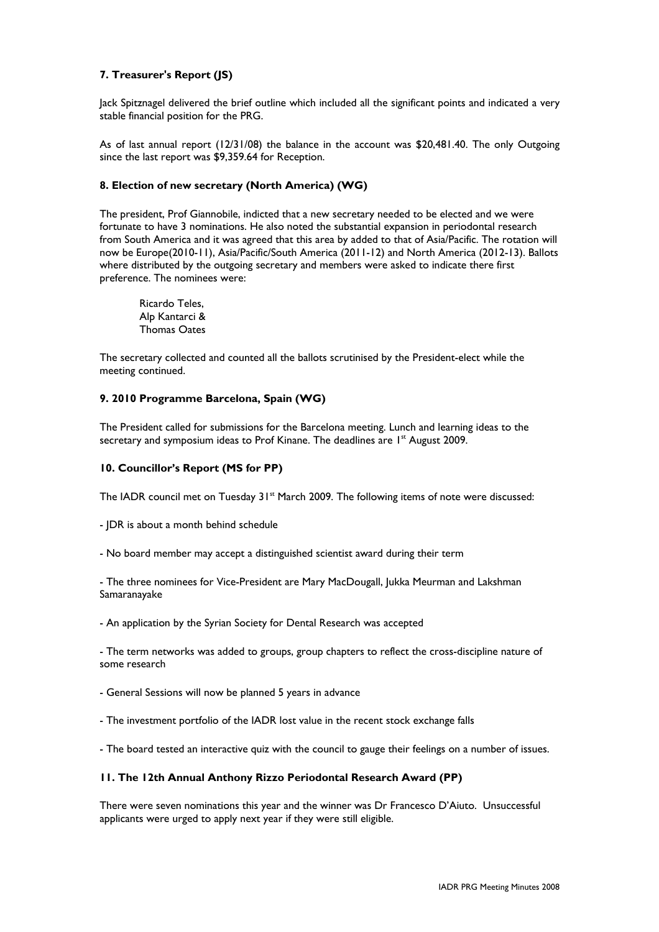## **7. Treasurer's Report (JS)**

Jack Spitznagel delivered the brief outline which included all the significant points and indicated a very stable financial position for the PRG.

As of last annual report (12/31/08) the balance in the account was \$20,481.40. The only Outgoing since the last report was \$9,359.64 for Reception.

#### **8. Election of new secretary (North America) (WG)**

The president, Prof Giannobile, indicted that a new secretary needed to be elected and we were fortunate to have 3 nominations. He also noted the substantial expansion in periodontal research from South America and it was agreed that this area by added to that of Asia/Pacific. The rotation will now be Europe(2010-11), Asia/Pacific/South America (2011-12) and North America (2012-13). Ballots where distributed by the outgoing secretary and members were asked to indicate there first preference. The nominees were:

Ricardo Teles, Alp Kantarci & Thomas Oates

The secretary collected and counted all the ballots scrutinised by the President-elect while the meeting continued.

### **9. 2010 Programme Barcelona, Spain (WG)**

The President called for submissions for the Barcelona meeting. Lunch and learning ideas to the secretary and symposium ideas to Prof Kinane. The deadlines are 1<sup>st</sup> August 2009.

#### **10. Councillor's Report (MS for PP)**

The IADR council met on Tuesday 31<sup>st</sup> March 2009. The following items of note were discussed:

- JDR is about a month behind schedule

- No board member may accept a distinguished scientist award during their term

- The three nominees for Vice-President are Mary MacDougall, Jukka Meurman and Lakshman Samaranayake

- An application by the Syrian Society for Dental Research was accepted

- The term networks was added to groups, group chapters to reflect the cross-discipline nature of some research

- General Sessions will now be planned 5 years in advance

- The investment portfolio of the IADR lost value in the recent stock exchange falls

- The board tested an interactive quiz with the council to gauge their feelings on a number of issues.

#### **11. The 12th Annual Anthony Rizzo Periodontal Research Award (PP)**

There were seven nominations this year and the winner was Dr Francesco D'Aiuto. Unsuccessful applicants were urged to apply next year if they were still eligible.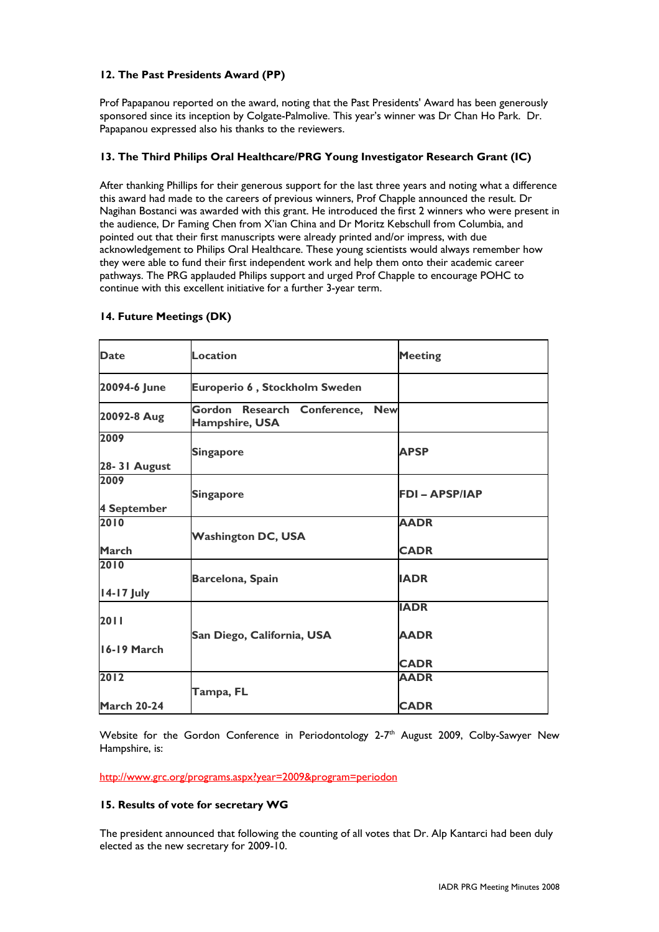# **12. The Past Presidents Award (PP)**

Prof Papapanou reported on the award, noting that the Past Presidents' Award has been generously sponsored since its inception by Colgate-Palmolive. This year's winner was Dr Chan Ho Park. Dr. Papapanou expressed also his thanks to the reviewers.

# **13. The Third Philips Oral Healthcare/PRG Young Investigator Research Grant (IC)**

After thanking Phillips for their generous support for the last three years and noting what a difference this award had made to the careers of previous winners, Prof Chapple announced the result. Dr Nagihan Bostanci was awarded with this grant. He introduced the first 2 winners who were present in the audience, Dr Faming Chen from X'ian China and Dr Moritz Kebschull from Columbia, and pointed out that their first manuscripts were already printed and/or impress, with due acknowledgement to Philips Oral Healthcare. These young scientists would always remember how they were able to fund their first independent work and help them onto their academic career pathways. The PRG applauded Philips support and urged Prof Chapple to encourage POHC to continue with this excellent initiative for a further 3-year term.

| <b>Date</b>                | <b>Location</b>                                             | <b>Meeting</b>             |
|----------------------------|-------------------------------------------------------------|----------------------------|
| 20094-6 June               | Europerio 6, Stockholm Sweden                               |                            |
| 20092-8 Aug                | Gordon Research Conference,<br><b>New</b><br>Hampshire, USA |                            |
| 2009<br>28-31 August       | <b>Singapore</b>                                            | <b>APSP</b>                |
| 2009<br><b>4 September</b> | <b>Singapore</b>                                            | <b>FDI-APSP/IAP</b>        |
| 2010<br>March              | <b>Washington DC, USA</b>                                   | <b>AADR</b><br><b>CADR</b> |
| 2010<br>14-17 July         | Barcelona, Spain                                            | <b>IADR</b>                |
| 2011                       | San Diego, California, USA                                  | <b>IADR</b><br><b>AADR</b> |
| 16-19 March                |                                                             | <b>CADR</b>                |
| 2012<br><b>March 20-24</b> | Tampa, FL                                                   | <b>AADR</b><br><b>CADR</b> |

# **14. Future Meetings (DK)**

Website for the Gordon Conference in Periodontology 2-7<sup>th</sup> August 2009, Colby-Sawyer New Hampshire, is:

http://www.grc.org/programs.aspx?year=2009&program=periodon

## **15. Results of vote for secretary WG**

The president announced that following the counting of all votes that Dr. Alp Kantarci had been duly elected as the new secretary for 2009-10.